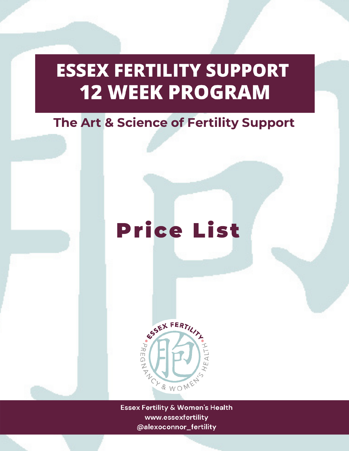## **ESSEX FERTILITY SUPPORT 12 WEEK PROGRAM**

## The Art & Science of Fertility Support

## Price List



**Essex Fertility & Women's Health** www.essexfertility @alexoconnor\_fertility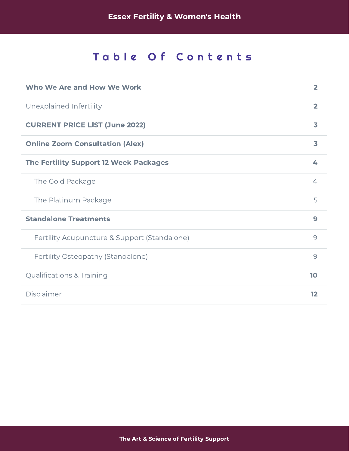## Table Of Contents

| Who We Are and How We Work                    | $\overline{2}$    |
|-----------------------------------------------|-------------------|
| Unexplained Infertility                       | $\overline{2}$    |
| <b>CURRENT PRICE LIST (June 2022)</b>         | 3                 |
| <b>Online Zoom Consultation (Alex)</b>        | 3                 |
| <b>The Fertility Support 12 Week Packages</b> | 4                 |
| The Gold Package                              | 4                 |
| The Platinum Package                          | 5                 |
| <b>Standalone Treatments</b>                  | 9                 |
| Fertility Acupuncture & Support (Standalone)  | 9                 |
| Fertility Osteopathy (Standalone)             | $\overline{9}$    |
| <b>Qualifications &amp; Training</b>          | 10                |
| Disclaimer                                    | $12 \overline{)}$ |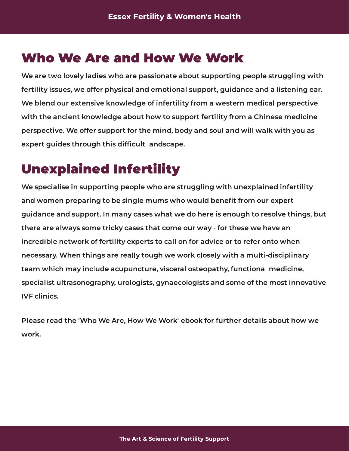## <span id="page-2-0"></span>Who We Are and How We Work

We are two lovely ladies who are passionate about supporting people struggling with we are two lovely ladies who are passionate about supporting people subgging with fertility issues, we offer physical and emotional support, guidance and a listening ear. We blend our extensive knowledge of infertility from a western medical perspective with the ancient knowledge about how to support from  $\mathbf{j}_j$  from a Chinese medicine perspective. We offer support for the mind, body and soul and will walk with you as expert guides through this difcult landscape.

<span id="page-2-1"></span> $U = U = U = U = U = U = U = U = U$ we specialise in supporting people with unexplaining with unexplained infertility and women preparing to be single mums who would benet from our expert guidance and support. In many cases what we do here is enough to resolve things, but there are always some tricky cases that come our way - for these we have an incredible network of fertility experts to call on form advice or to refer onto when necessary. When things are really tough we work closely with a multi-disciplinary team which may include acupuncture, visceral osteopathy, functional medicine, specialist ultrasonography, urologists, gynaecologists and some of the most innovative **IVE clinics.** 

Please read the 'Who We Are, How We Work' ebook for further details about how we work.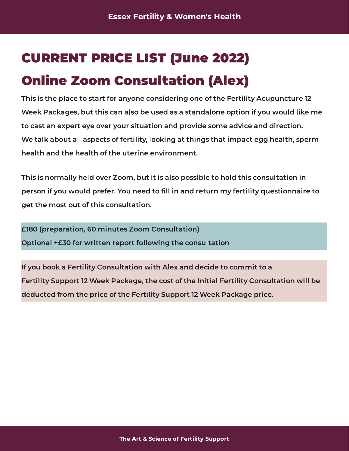## <span id="page-3-0"></span>Online Zoom Consultation (Alex) CURRENT PRICE LIST (June 2022)

<span id="page-3-1"></span>This is the place to start for anyone considering one of the Fertility Acupuncture 12 Week Packages, but this can also be used as a standalone option if you would like me to cast an expert eye over your situation and provide some advice and direction. we talk about all aspects of fertility, looking at things that impact egg health, sperm health and the health of the uterine environment.

This is normally held over Zoom, but it is also possible to hold this consultation in person if you would prefer. You need to ll in and return my fertility questionnaire to get the most out of this consultation.

£180 (preparation, 60 minutes Zoom Consultation) Optional +£30 for written report following the consultation

If you book a Fertility Consultation with Alex and decide to commit to a Fertility Support 12 Week Package, the cost of the Initial Fertility Consultation will be deducted from the price of the Fertility Support 12 Week Package price.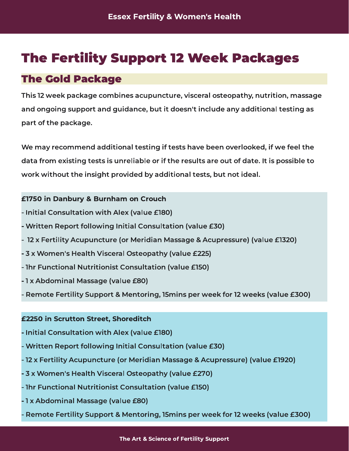## <span id="page-4-0"></span>The Fertility Support 12 Week Packages

### <span id="page-4-1"></span>The Gold Package

This 12 week package combines acupuncture, visceral osteopathy, nutrition, massage and ongoing support and guidance, but it doesn't include any additional testing as part of the package.

we may recommend additional testing if tests have been overlooking if we feel the data from existing tests is unreliable or if the results are out of date. It is possible to work without the insight provided by additional tests, but not ideal.

#### £1750 in Danbury & Burnham on Crouch

- Initial Consultation with Alex (value £180)
- Written Report following Initial Consultation (value £30)
- 12 x Fertility Acupuncture (or Meridian Massage & Acupressure) (value £1320)
- 3 x Women's Health Visceral Osteopathy (value £225)
- 1hr Functional Nutritionist Consultation (value £150)
- $\cdots$  a abdominal massage (summers)
- $R_{\text{max}}$   $\sum_{i=1}^{n}$   $\sum_{j=1}^{n}$   $\sum_{j=1}^{n}$   $\sum_{j=1}^{n}$   $\sum_{j=1}^{n}$   $\sum_{j=1}^{n}$   $\sum_{j=1}^{n}$   $\sum_{j=1}^{n}$   $\sum_{j=1}^{n}$   $\sum_{j=1}^{n}$   $\sum_{j=1}^{n}$   $\sum_{j=1}^{n}$   $\sum_{j=1}^{n}$   $\sum_{j=1}^{n}$   $\sum_{j=1}^{n}$   $\sum_{j=1}^{n}$   $\sum$

#### £2250 in Scrutton Street, Shoreditch

- Initial Consultation with Alex (value £180)
- Written Report following Initial Consultation (value £30)
- 12 x Fertility Acupuncture (or Meridian Massage & Acupressure) (value £1920)
- 3 x Women's Health Visceral Osteopathy (value £270)
- 1hr Functional Nutritionist Consultation (value £150)
- 1 x Abdominal Massage (value £80)
- $P_{\text{R}}$  and  $P_{\text{R}}$  is a mentoring, 15mins per weeks (2 weeks  $\text{R}$ 00)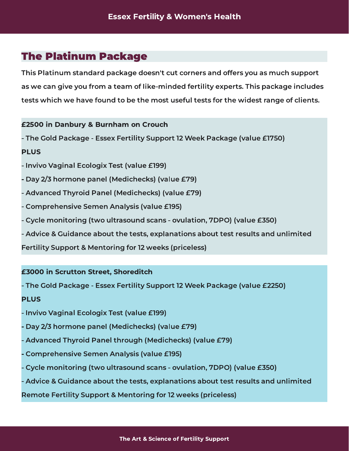### <span id="page-5-0"></span>The Platinum Package

This Platinum standard package doesn't cut corners and offers you as much support as we can give you from a team of like-minded fertility experts. This package includes tests which we have found to be the most useful tests for the widest range of clients.

#### £2500 in Danbury & Burnham on Crouch

 $\cdots$  The Gold Package - Essex Fertility Support 12 Week Package (Figure 2015)

#### PLUS

- Invivo Vaginal Ecologix Test (value £199)
- Day 2/3 hormone panel (Medichecks) (value £79)
- Advanced Thyroid Panel (Medichecks) (value £79)
- Comprehensive Semen Analysis (value £195)
- Cycle monitoring (two ultrasound scans ovulation, 7DPO) (value £350)
- Advice & Guidance about the tests, explanations about test results and unlimited

 $\mathcal{F}_{\text{max}}$  support  $\mathcal{F}_{\text{max}}$  for  $\mathcal{F}_{\text{max}}$  (priceless)

#### £3000 in Scrutton Street, Shoreditch

- The Gold Package - Essex Fertility Support 12 Week Package (value £2250)

#### PLUS

- Invivo Vaginal Ecologix Test (value £199)
- Day 2/3 hormone panel (Medichecks) (value £79)
- Advanced Thyroid Panel through (Medichecks) (value £79)
- Comprehensive Semen Analysis (value £195)
- Cycle monitoring (two ultrasound scans ovulation, 7DPO) (value £350)
- Advice & Guidance about the tests, explanations about test results and unlimited

Remote Fertility Support & Mentoring for 12 weeks (priceless)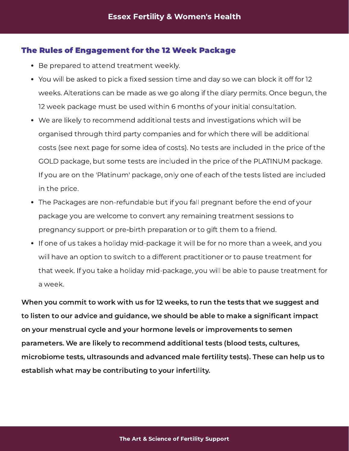#### The Rules of Engagement for the 12 Week Package

- Be prepared to attend treatment weekly.
- You will be asked to pick a xill a session time and day so we can block it of for  $12$ weeks. Alterations can be made as we go along if the diary permits. Once begun, the 12 week package must be used within 6 months of your initial consultation.
- We are likely to recommend additional tests and investigations which will be organised through third party companies and for which there will be additional costs (see next page for some idea of costs). No tests are included in the price of the GOLD package, but some tests are included in the price of the PLATINUM package. If you are on the 'Platinum' package, only one of each of the tests listed are included in the price.
- The Packages are non-refundable but if you fall pregnant before the end of your package you are welcome to convert any remaining treatment sessions to pregnancy support or pre-birth preparation or to gift them to a friend.
- If one of us takes a holiday mid-package it will be for no more than a week, and you will have a different to switch to a different practition or to pause treatment for that week. If you take a holiday mid-package, you will be able to pause treatment for a week.

When you commit to work with us for 12 weeks, to run the tests that we suggest and to listen to our advice and guidance, we should be able to make a significant impact on your menstrual cycle and your hormone levels or improvements to semen parameters. We are likely to recommend additional tests (blood tests, cultures, microbiome tests, ultrasounds and advanced male fertility tests). These can help us to establish what may be contributing to your infertility.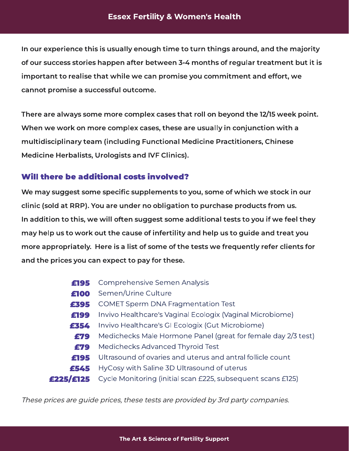#### Essex Fertility & Women's Health

In our experience this is usually enough time to turn things around, and the majority of our success stories happen after between 3-4 months of regular treatment but it is important to realise that while we can promise you commitment and effort, we cannot promise a successful outcome.

There are always some more complex cases that roll on beyond the 12/15 week point. When we work on more complex cases, these are usually in conjunction with a multidisciplinary team (including Functional Medicine Practitioners, Chinese Medicine Herbalists, Urologists and IVF Clinics).

#### Will there be additional costs involved?

We may suggest some specific supplements to you, some of which we stock in our clinic (sold at RRP). You are under no obligation to purchase products from us. In addition to this, we will often suggest some additional tests to you if we feel they may help us to work out the cause of infertility and help us to guide and treat you more appropriately. Here is a list of some of the tests we frequently refer clients for and the prices you can expect to pay for these.

- £195 Comprehensive Semen Analysis<br>£100 Semen/Urine Culture
- **£100** Semen/Urine Culture<br>**£395** COMET Sperm DNA F
- £395 COMET Sperm DNA Fragmentation Test<br>£199 Invivo Healthcare's Vaginal Ecologix (Vag
- £199 Invivo Healthcare's Vaginal Ecologix (Vaginal Microbiome)<br>£354 Invivo Healthcare's GI Ecologix (Gut Microbiome)
- **354** Invivo Healthcare's GI Ecologix (Gut Microbiome):<br>279 Medichecks Male Hormone Panel (great for fema
- £79 Medichecks Male Hormone Panel (great for female day 2/3 test)<br>£79 Medichecks Advanced Thyroid Test
- **£79** Medichecks Advanced Thyroid Test<br>**£195** Ultrasound of ovaries and uterus and
- £195 Ultrasound of ovaries and uterus and antral follicle count<br>£545 HyCosy with Saline 3D Ultrasound of uterus
- 
- **£545** HyCosy with Saline 3D Ultrasound of uterus<br>**£225/£125** Cycle Monitoring (initial scan £225, subseque Eycle Monitoring (initial scan £225, subsequent scans £125)

These prices are guide prices, these tests are provided by 3rd party companies.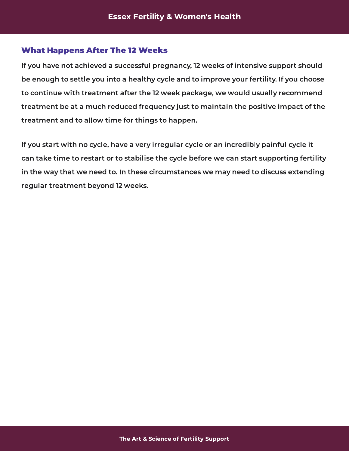#### What Happens After The 12 Weeks

If you have not achieved a successful pregnancy, 12 weeks of intensive support should be enough to settle you into a healthy cycle and to improve your fertility. If you choose to continue with treatment after the 12 week package, we would usually recommend treatment be at a much reduced frequency just to maintain the positive impact of the treatment and to allow time for things to happen.

If you start with no cycle, have a very irregular cycle or an incredibly painful cycle it can take time to restart or to stabilise the cycle before we can start supporting fertility in the way that we need to. In these circumstances we may need to discuss extending regular treatment beyond 12 weeks.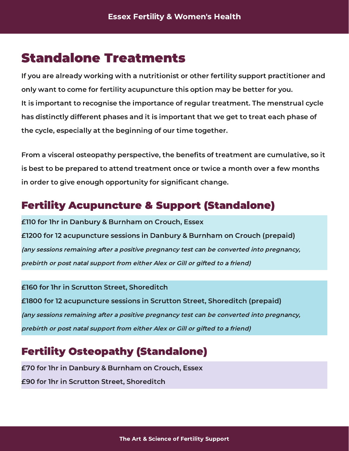## <span id="page-9-0"></span>Standalone Treatments

If you are already working with a nutritionist or other fertility support practitioner and only want to come for fertility acupuncture this option may be better for you. It is important to recognise the importance of regular treatment. The menstrual cycle has distinctly different phases and it is important that we get to treat each phase of the cycle, especially at the beginning of our time together.

From a visceral osteopathy perspective, the benets of treatment are cumulative, so it is best to be prepared to attend treatment once or twice a month over a few months in order to give enough opportunity for signicant change.

### <span id="page-9-1"></span>Fertility Acupuncture & Support (Standalone)

£110 for 1hr in Danbury & Burnham on Crouch, Essex  $\mathcal{L}_{1200}$  for 12 acupuncture sessions in Danbury  $\mathcal{L}_{2100}$  and  $\mathcal{L}_{2200}$ (any sessions remaining after a positive pregnancy test can be converted into pregnancy, prebirth or post natal support from either Alex or Gill or gifted to a friend)

£160 for 1hr in Scrutton Street, Shoreditch £1800 for 12 acupuncture sessions in Scrutton Street, Shoreditch (prepaid) (any sessions remaining after a positive pregnancy test can be converted into pregnancy, prebirth or post natal support from either Alex or Gill or gifted to a friend)

## <span id="page-9-2"></span>**Fertility Osteopathy (Standalone)**<br>£70 for 1hr in Danbury & Burnham on Crouch, Essex

£70 for 1hr in Danbury & Burnham on Crouch, Essex  $\mathcal{B}$  for the interaction street, short-distribution  $\mathcal{B}$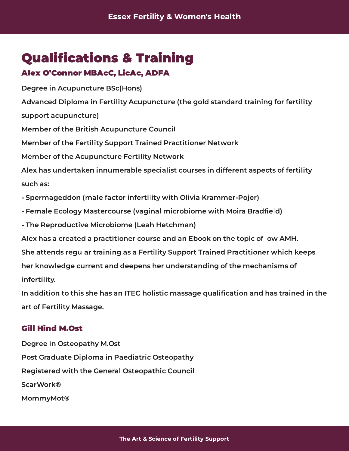## <span id="page-10-0"></span>**Qualifications & Training**

### Alex O'Connor MBAcC, LicAc, ADFA

 $\mathcal{L}$  -  $\mathcal{L}$   $\mathcal{L}$  and  $\mathcal{L}$  and  $\mathcal{L}$  and  $\mathcal{L}$  -  $\mathcal{L}$  -  $\mathcal{L}$  -  $\mathcal{L}$  -  $\mathcal{L}$  -  $\mathcal{L}$  -  $\mathcal{L}$  -  $\mathcal{L}$  -  $\mathcal{L}$  -  $\mathcal{L}$  -  $\mathcal{L}$  -  $\mathcal{L}$  -  $\mathcal{L}$  -  $\mathcal{L}$  -  $\mathcal{L}$ Advanced Diploma in Fertility Acupuncture (the gold standard training for fertility support acupuncture) Member of the British Acupuncture Council Member of the Fertility Support Trained Practitioner Network Member of the Acupuncture Fertility Network Alex has undertaken innumerable specialist courses in different aspects of fertility such as: - Spermageddon (male factor infertility with Olivia Krammer-Pojer) - Female Ecology Mastercourse (vaginal microbiome with Moira Bradfield) - The Reproductive Microbiome (Leah Hetchman) Alex has a created a practitioner course and an Ebook on the topic of low AMH. She attends regular training as a Fertility Support Trained Practitioner which keeps

her knowledge current and deepens her understanding of the mechanisms of inferting.

In addition to this she has an ITEC holistic massage qualication and has trained in the art of Fertility Massage.

#### Gill Hind M.Ost

Degree in Osteopathy M.Ost Post Graduate Diploma in Paediatric Osteopathy Registered with the General Osteopathic Council **ScarWork®** mommy.com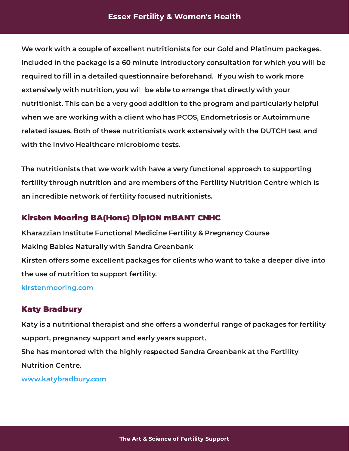We work with a couple of excellent nutritionists for our Gold and Platinum packages. Included in the package is a 60 minute introductory consultation for which you will be required to ll in a detailed questionnaire beforehand. If you wish to work more extensively with nutrition, you will be able to arrange that directly with your numerica this can be a very good addition to the program and particularly helpfull when we are working with a client with was PCOS, Endometric or Automatical Companies related issues. Both of these nutritionists work extensively with the DUTCH test and with the Invivo Healthcare microbiome tests.

The nutritionists that we work with have a very functional approach to supporting fertility through numerical through numerical terms of the Fertility Nutrition Centre which is an incredible network of fertility focused nutritionists.

#### Kirsten Mooring BA(Hons) DipION mBANT CNHC

Kharazzian Institute Functional Medicine Fertility & Pregnancy Course Making Babies Naturally with Sandra Greenbank Kirsten offers some excellent packages for clients who want to take a deeper dive into the use of nutrition to support fertility.

[kirstenmooring.com](https://kirstenmooring.com/)

#### Katy Bradbury

Katy is a nutritional therapist and she offers a wonderful range of packages for fertility support, pregnancy support and early years support. She has mentored with the highly respected Sandra Greenbank at the Fertility **Nutrition Centre.** 

[www.katybradbury.com](https://www.katybradbury.com/)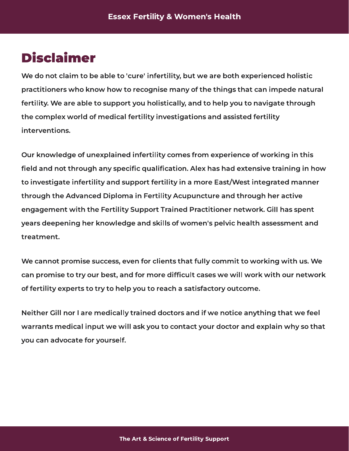## <span id="page-12-0"></span>Disclaimer

We do not claim to be able to 'cure' infertility, but we are both experienced holistic practitioners who know how to recognise many of the things that can impede natural fertility. We are able to support you holistically, and to help you to navigate through  $t$  the complete world of medical fertility investigations and assisted fertility interventions.

Our knowledge of unexplained infertility comes from experience of working in this field and not through any specific qualification. Alex has had extensive training in how to investigate infertility and support fertility in a more East/West integrated manner through the Advanced Diploma in Fertility Acupuncture and through her active engagement with the Fertility Support Trained Practitioner network. Gill has spent years deepening her knowledge and skills of women's pelvic health assessment and treatment.

We cannot promise success, even for chients that fully committee that fully committed with us. can promise to try our best, and for more diffusion cases we will work with our network. of fertility experts to try to help you to reach a satisfactory outcome.

Neither Gill nor I are medically trained doctors and if we notice anything that we feel warrants medical input we will ask you to contact your doctor and explain why so that you can advocate for yourself.